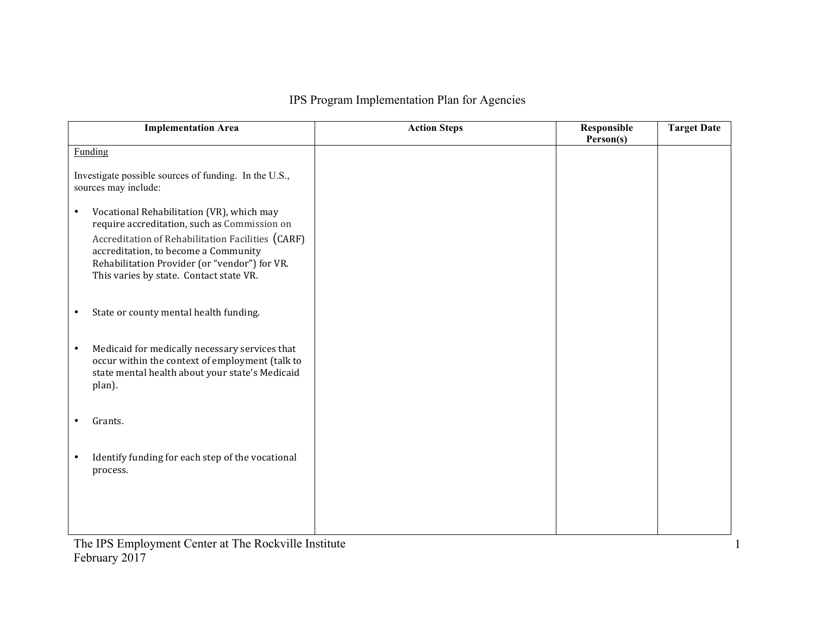## IPS Program Implementation Plan for Agencies

| <b>Implementation Area</b>                                                                                                                                                                                                                                                                      | <b>Action Steps</b> | Responsible | <b>Target Date</b> |
|-------------------------------------------------------------------------------------------------------------------------------------------------------------------------------------------------------------------------------------------------------------------------------------------------|---------------------|-------------|--------------------|
|                                                                                                                                                                                                                                                                                                 |                     | Person(s)   |                    |
| <b>Funding</b>                                                                                                                                                                                                                                                                                  |                     |             |                    |
| Investigate possible sources of funding. In the U.S.,<br>sources may include:                                                                                                                                                                                                                   |                     |             |                    |
| Vocational Rehabilitation (VR), which may<br>$\bullet$<br>require accreditation, such as Commission on<br>Accreditation of Rehabilitation Facilities (CARF)<br>accreditation, to become a Community<br>Rehabilitation Provider (or "vendor") for VR.<br>This varies by state. Contact state VR. |                     |             |                    |
| State or county mental health funding.                                                                                                                                                                                                                                                          |                     |             |                    |
| Medicaid for medically necessary services that<br>$\bullet$<br>occur within the context of employment (talk to<br>state mental health about your state's Medicaid<br>plan).                                                                                                                     |                     |             |                    |
| Grants.                                                                                                                                                                                                                                                                                         |                     |             |                    |
| Identify funding for each step of the vocational<br>process.                                                                                                                                                                                                                                    |                     |             |                    |
|                                                                                                                                                                                                                                                                                                 |                     |             |                    |

1

The IPS Employment Center at The Rockville Institute February 2017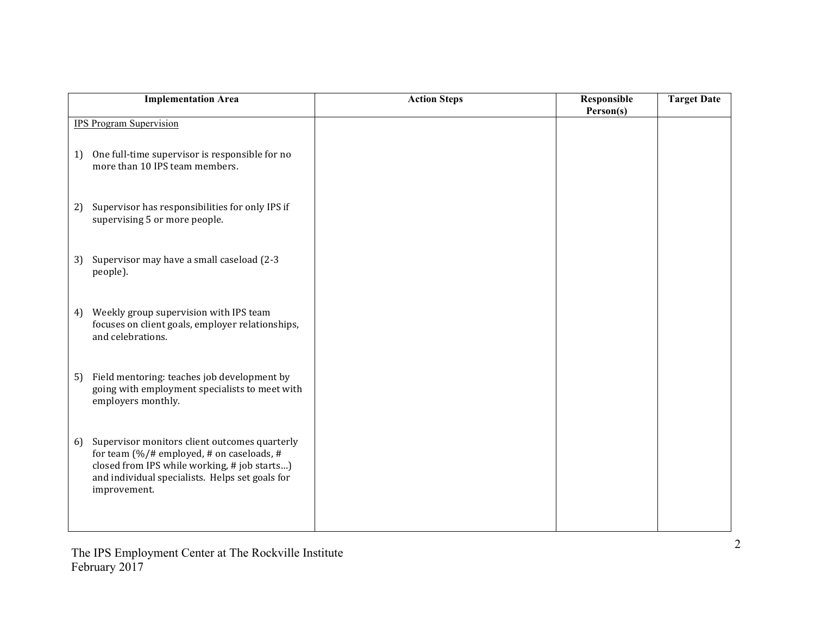| <b>Implementation Area</b>                                                                                                                                                                                                      | <b>Action Steps</b> | Responsible<br>Person(s) | <b>Target Date</b> |
|---------------------------------------------------------------------------------------------------------------------------------------------------------------------------------------------------------------------------------|---------------------|--------------------------|--------------------|
| <b>IPS Program Supervision</b>                                                                                                                                                                                                  |                     |                          |                    |
| One full-time supervisor is responsible for no<br>1)<br>more than 10 IPS team members.                                                                                                                                          |                     |                          |                    |
| Supervisor has responsibilities for only IPS if<br>2)<br>supervising 5 or more people.                                                                                                                                          |                     |                          |                    |
| Supervisor may have a small caseload (2-3<br>3)<br>people).                                                                                                                                                                     |                     |                          |                    |
| Weekly group supervision with IPS team<br>4)<br>focuses on client goals, employer relationships,<br>and celebrations.                                                                                                           |                     |                          |                    |
| Field mentoring: teaches job development by<br>5)<br>going with employment specialists to meet with<br>employers monthly.                                                                                                       |                     |                          |                    |
| Supervisor monitors client outcomes quarterly<br>6)<br>for team $(\frac{9}{4}$ # employed, # on caseloads, #<br>closed from IPS while working, # job starts)<br>and individual specialists. Helps set goals for<br>improvement. |                     |                          |                    |

The IPS Employment Center at The Rockville Institute February 2017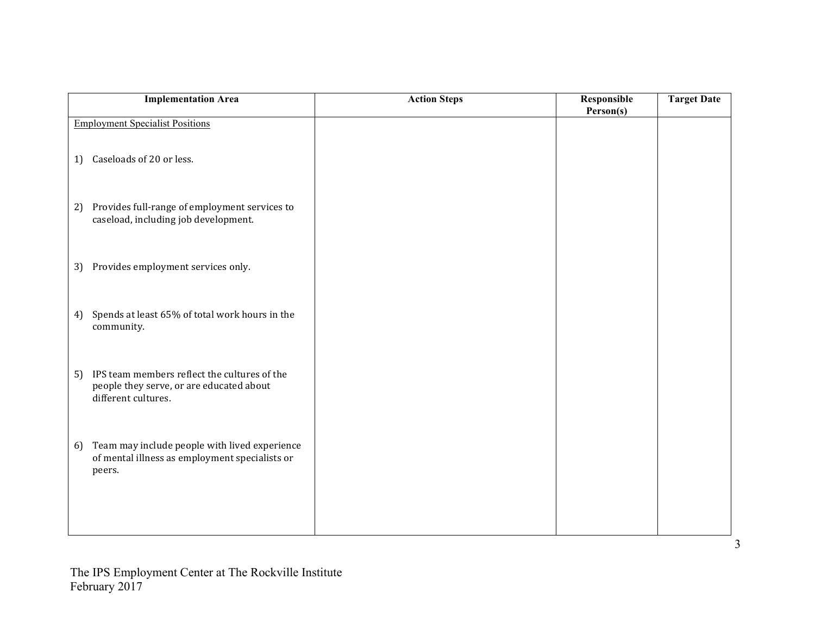| <b>Implementation Area</b>                                                                                            | <b>Action Steps</b> | Responsible<br>Person(s) | <b>Target Date</b> |
|-----------------------------------------------------------------------------------------------------------------------|---------------------|--------------------------|--------------------|
| <b>Employment Specialist Positions</b>                                                                                |                     |                          |                    |
| Caseloads of 20 or less.<br>1)                                                                                        |                     |                          |                    |
| Provides full-range of employment services to<br>2)<br>caseload, including job development.                           |                     |                          |                    |
| Provides employment services only.<br>3)                                                                              |                     |                          |                    |
| Spends at least 65% of total work hours in the<br>4)<br>community.                                                    |                     |                          |                    |
| IPS team members reflect the cultures of the<br>5)<br>people they serve, or are educated about<br>different cultures. |                     |                          |                    |
| Team may include people with lived experience<br>6)<br>of mental illness as employment specialists or<br>peers.       |                     |                          |                    |
|                                                                                                                       |                     |                          |                    |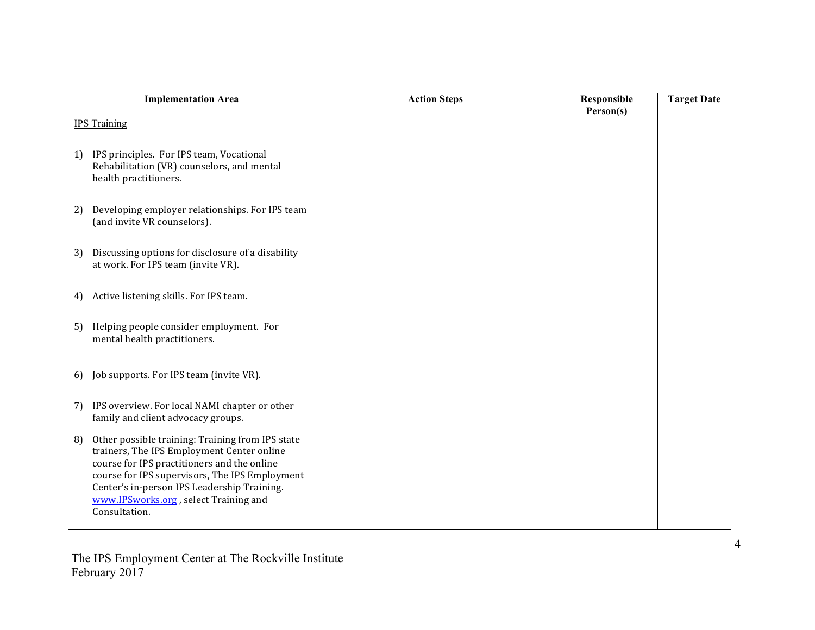|    | <b>Implementation Area</b>                                                                                                                                                                                                                                                                               | <b>Action Steps</b> | Responsible<br>Person(s) | <b>Target Date</b> |
|----|----------------------------------------------------------------------------------------------------------------------------------------------------------------------------------------------------------------------------------------------------------------------------------------------------------|---------------------|--------------------------|--------------------|
|    | <b>IPS Training</b>                                                                                                                                                                                                                                                                                      |                     |                          |                    |
| 1) | IPS principles. For IPS team, Vocational<br>Rehabilitation (VR) counselors, and mental<br>health practitioners.                                                                                                                                                                                          |                     |                          |                    |
| 2) | Developing employer relationships. For IPS team<br>(and invite VR counselors).                                                                                                                                                                                                                           |                     |                          |                    |
| 3) | Discussing options for disclosure of a disability<br>at work. For IPS team (invite VR).                                                                                                                                                                                                                  |                     |                          |                    |
| 4) | Active listening skills. For IPS team.                                                                                                                                                                                                                                                                   |                     |                          |                    |
| 5) | Helping people consider employment. For<br>mental health practitioners.                                                                                                                                                                                                                                  |                     |                          |                    |
| 6) | Job supports. For IPS team (invite VR).                                                                                                                                                                                                                                                                  |                     |                          |                    |
| 7) | IPS overview. For local NAMI chapter or other<br>family and client advocacy groups.                                                                                                                                                                                                                      |                     |                          |                    |
| 8) | Other possible training: Training from IPS state<br>trainers, The IPS Employment Center online<br>course for IPS practitioners and the online<br>course for IPS supervisors, The IPS Employment<br>Center's in-person IPS Leadership Training.<br>www.IPSworks.org, select Training and<br>Consultation. |                     |                          |                    |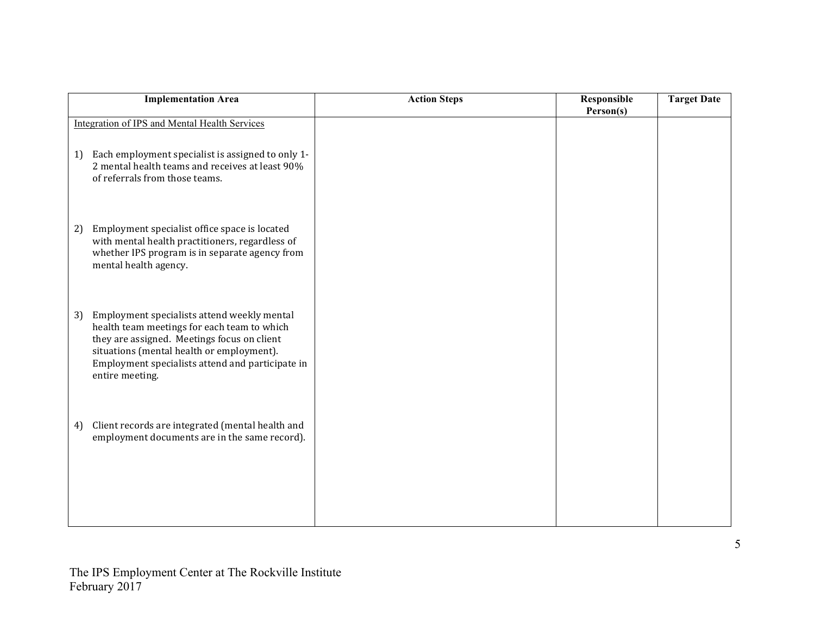| <b>Implementation Area</b>                                                                                                                                                                                                                                          | <b>Action Steps</b> | Responsible<br>Person(s) | <b>Target Date</b> |
|---------------------------------------------------------------------------------------------------------------------------------------------------------------------------------------------------------------------------------------------------------------------|---------------------|--------------------------|--------------------|
| <b>Integration of IPS and Mental Health Services</b>                                                                                                                                                                                                                |                     |                          |                    |
| Each employment specialist is assigned to only 1-<br>1)<br>2 mental health teams and receives at least 90%<br>of referrals from those teams.                                                                                                                        |                     |                          |                    |
| Employment specialist office space is located<br>2)<br>with mental health practitioners, regardless of<br>whether IPS program is in separate agency from<br>mental health agency.                                                                                   |                     |                          |                    |
| 3)<br>Employment specialists attend weekly mental<br>health team meetings for each team to which<br>they are assigned. Meetings focus on client<br>situations (mental health or employment).<br>Employment specialists attend and participate in<br>entire meeting. |                     |                          |                    |
| Client records are integrated (mental health and<br>4)<br>employment documents are in the same record).                                                                                                                                                             |                     |                          |                    |
|                                                                                                                                                                                                                                                                     |                     |                          |                    |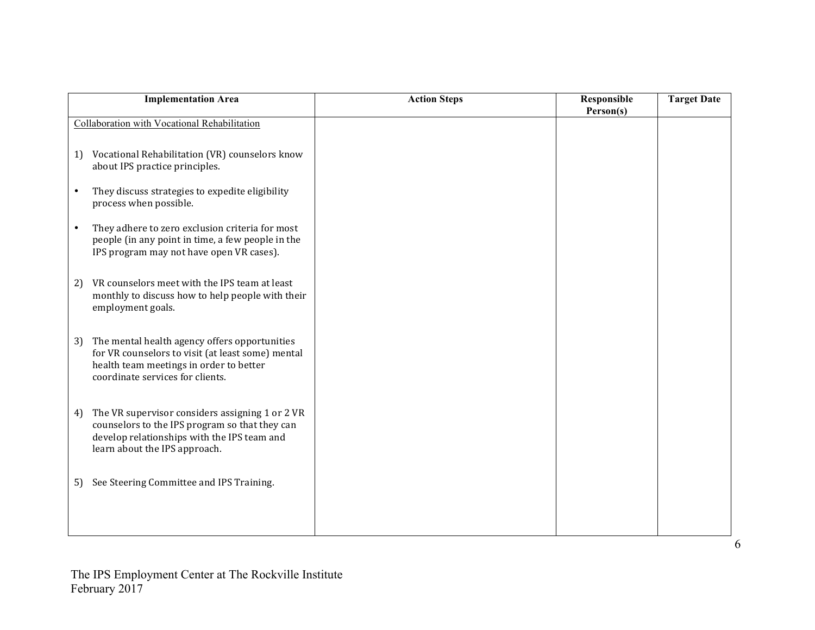| <b>Implementation Area</b>                                                                                                                                                              | <b>Action Steps</b> | Responsible<br>Person(s) | <b>Target Date</b> |
|-----------------------------------------------------------------------------------------------------------------------------------------------------------------------------------------|---------------------|--------------------------|--------------------|
| Collaboration with Vocational Rehabilitation                                                                                                                                            |                     |                          |                    |
| Vocational Rehabilitation (VR) counselors know<br>1)<br>about IPS practice principles.                                                                                                  |                     |                          |                    |
| They discuss strategies to expedite eligibility<br>$\bullet$<br>process when possible.                                                                                                  |                     |                          |                    |
| They adhere to zero exclusion criteria for most<br>$\bullet$<br>people (in any point in time, a few people in the<br>IPS program may not have open VR cases).                           |                     |                          |                    |
| VR counselors meet with the IPS team at least<br>2)<br>monthly to discuss how to help people with their<br>employment goals.                                                            |                     |                          |                    |
| The mental health agency offers opportunities<br>3)<br>for VR counselors to visit (at least some) mental<br>health team meetings in order to better<br>coordinate services for clients. |                     |                          |                    |
| The VR supervisor considers assigning 1 or 2 VR<br>4)<br>counselors to the IPS program so that they can<br>develop relationships with the IPS team and<br>learn about the IPS approach. |                     |                          |                    |
| See Steering Committee and IPS Training.<br>5)                                                                                                                                          |                     |                          |                    |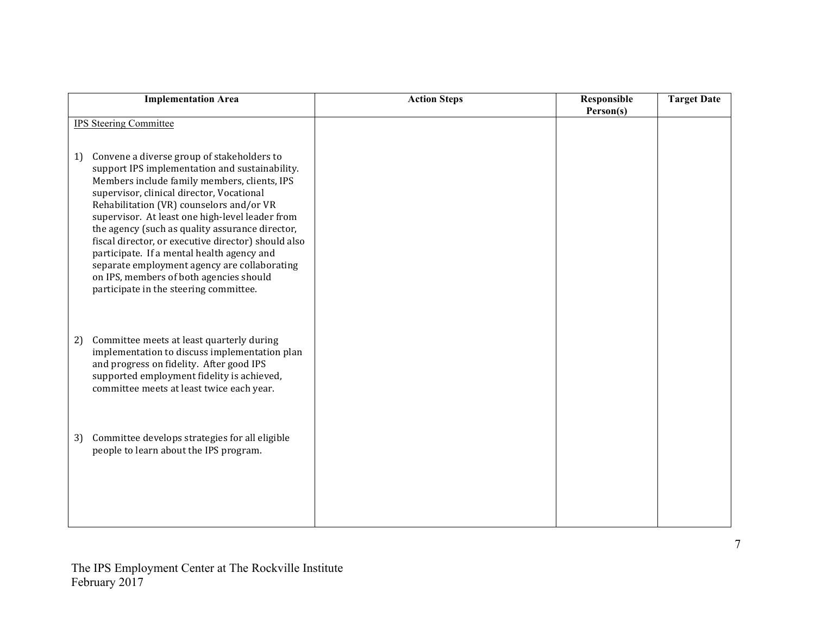| <b>Implementation Area</b>                                                                                                                                                                                                                                                                                                                                                                                                                                                                                                                                                                  | <b>Action Steps</b> | Responsible<br>Person(s) | <b>Target Date</b> |
|---------------------------------------------------------------------------------------------------------------------------------------------------------------------------------------------------------------------------------------------------------------------------------------------------------------------------------------------------------------------------------------------------------------------------------------------------------------------------------------------------------------------------------------------------------------------------------------------|---------------------|--------------------------|--------------------|
| <b>IPS Steering Committee</b>                                                                                                                                                                                                                                                                                                                                                                                                                                                                                                                                                               |                     |                          |                    |
| Convene a diverse group of stakeholders to<br>1)<br>support IPS implementation and sustainability.<br>Members include family members, clients, IPS<br>supervisor, clinical director, Vocational<br>Rehabilitation (VR) counselors and/or VR<br>supervisor. At least one high-level leader from<br>the agency (such as quality assurance director,<br>fiscal director, or executive director) should also<br>participate. If a mental health agency and<br>separate employment agency are collaborating<br>on IPS, members of both agencies should<br>participate in the steering committee. |                     |                          |                    |
| Committee meets at least quarterly during<br>2)<br>implementation to discuss implementation plan<br>and progress on fidelity. After good IPS<br>supported employment fidelity is achieved,<br>committee meets at least twice each year.                                                                                                                                                                                                                                                                                                                                                     |                     |                          |                    |
| Committee develops strategies for all eligible<br>3)<br>people to learn about the IPS program.                                                                                                                                                                                                                                                                                                                                                                                                                                                                                              |                     |                          |                    |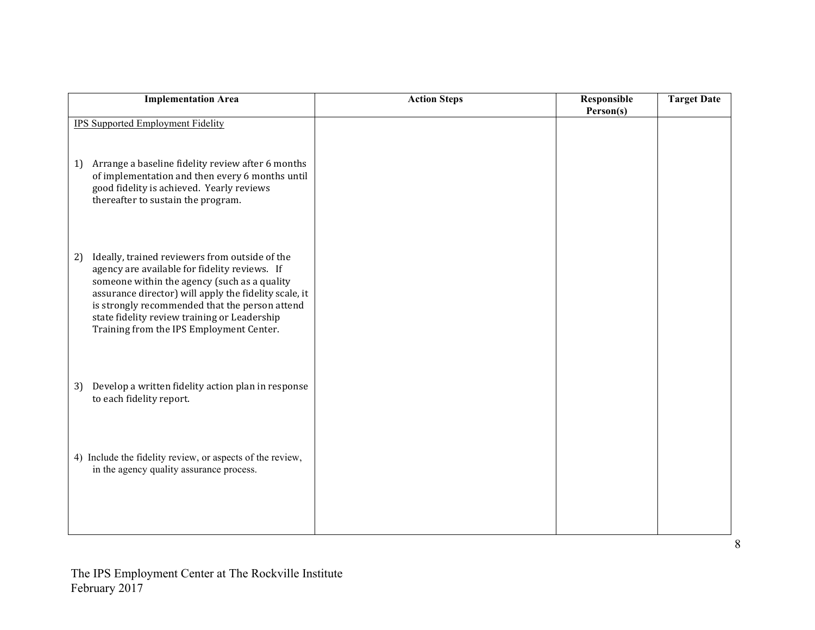| <b>Implementation Area</b>                                                                                                                                                                                                                                                                                                                                   | <b>Action Steps</b> | Responsible<br>Person(s) | <b>Target Date</b> |
|--------------------------------------------------------------------------------------------------------------------------------------------------------------------------------------------------------------------------------------------------------------------------------------------------------------------------------------------------------------|---------------------|--------------------------|--------------------|
| <b>IPS Supported Employment Fidelity</b>                                                                                                                                                                                                                                                                                                                     |                     |                          |                    |
| Arrange a baseline fidelity review after 6 months<br>1)<br>of implementation and then every 6 months until<br>good fidelity is achieved. Yearly reviews<br>thereafter to sustain the program.                                                                                                                                                                |                     |                          |                    |
| Ideally, trained reviewers from outside of the<br>2)<br>agency are available for fidelity reviews. If<br>someone within the agency (such as a quality<br>assurance director) will apply the fidelity scale, it<br>is strongly recommended that the person attend<br>state fidelity review training or Leadership<br>Training from the IPS Employment Center. |                     |                          |                    |
| Develop a written fidelity action plan in response<br>3)<br>to each fidelity report.                                                                                                                                                                                                                                                                         |                     |                          |                    |
| 4) Include the fidelity review, or aspects of the review,<br>in the agency quality assurance process.                                                                                                                                                                                                                                                        |                     |                          |                    |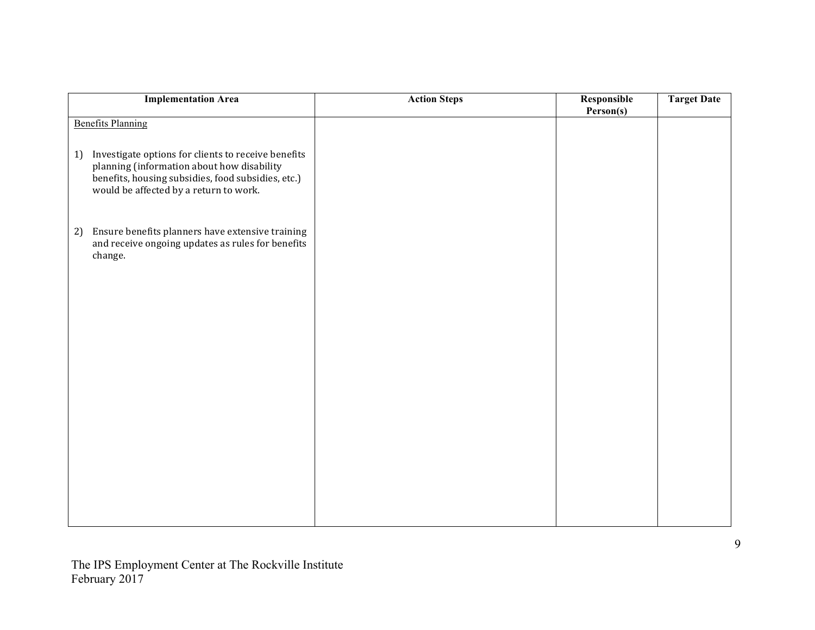| <b>Implementation Area</b>                                                                                                                                                                              | <b>Action Steps</b> | Responsible<br>Person(s) | <b>Target Date</b> |
|---------------------------------------------------------------------------------------------------------------------------------------------------------------------------------------------------------|---------------------|--------------------------|--------------------|
| <b>Benefits Planning</b>                                                                                                                                                                                |                     |                          |                    |
| Investigate options for clients to receive benefits<br>1)<br>planning (information about how disability<br>benefits, housing subsidies, food subsidies, etc.)<br>would be affected by a return to work. |                     |                          |                    |
| Ensure benefits planners have extensive training<br>2)<br>and receive ongoing updates as rules for benefits<br>change.                                                                                  |                     |                          |                    |
|                                                                                                                                                                                                         |                     |                          |                    |
|                                                                                                                                                                                                         |                     |                          |                    |
|                                                                                                                                                                                                         |                     |                          |                    |
|                                                                                                                                                                                                         |                     |                          |                    |